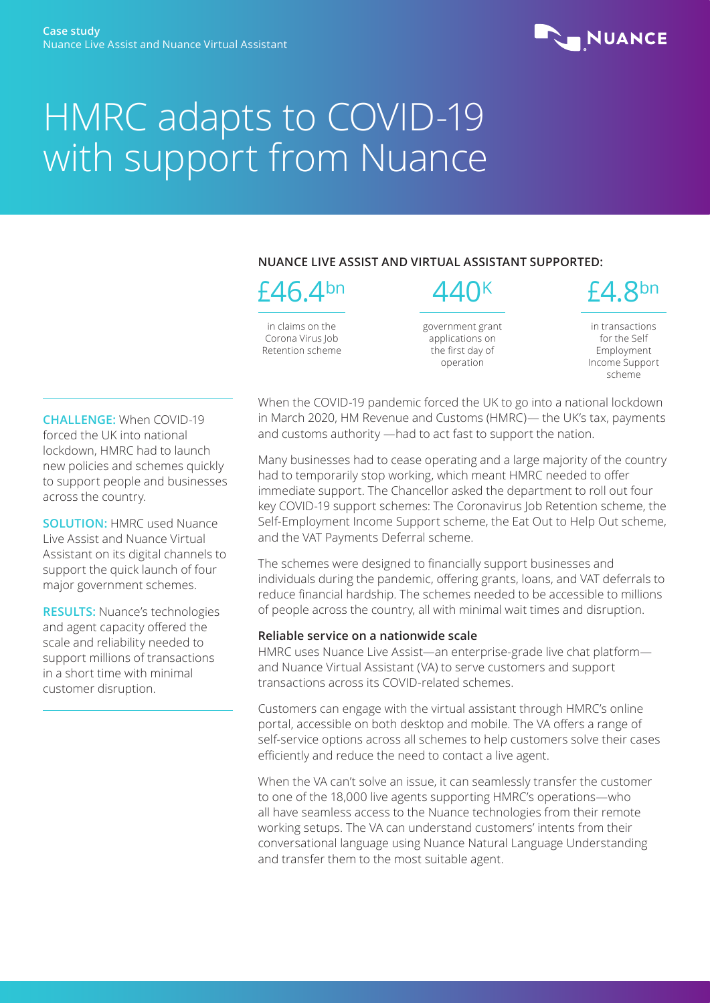

# HMRC adapts to COVID-19 with support from Nuance

## **NUANCE LIVE ASSIST AND VIRTUAL ASSISTANT SUPPORTED:**



 $\Delta\Delta\cap$ K

in claims on the Corona Virus Job Retention scheme government grant applications on the first day of operation

£4.8bn

in transactions for the Self Employment Income Support scheme

**CHALLENGE:** When COVID-19 forced the UK into national lockdown, HMRC had to launch new policies and schemes quickly to support people and businesses across the country.

**SOLUTION:** HMRC used Nuance Live Assist and Nuance Virtual Assistant on its digital channels to support the quick launch of four major government schemes.

**RESULTS:** Nuance's technologies and agent capacity offered the scale and reliability needed to support millions of transactions in a short time with minimal customer disruption.

When the COVID-19 pandemic forced the UK to go into a national lockdown in March 2020, HM Revenue and Customs (HMRC)— the UK's tax, payments and customs authority —had to act fast to support the nation.

Many businesses had to cease operating and a large majority of the country had to temporarily stop working, which meant HMRC needed to offer immediate support. The Chancellor asked the department to roll out four key COVID-19 support schemes: The Coronavirus Job Retention scheme, the Self-Employment Income Support scheme, the Eat Out to Help Out scheme, and the VAT Payments Deferral scheme.

The schemes were designed to financially support businesses and individuals during the pandemic, offering grants, loans, and VAT deferrals to reduce financial hardship. The schemes needed to be accessible to millions of people across the country, all with minimal wait times and disruption.

### **Reliable service on a nationwide scale**

HMRC uses Nuance Live Assist—an enterprise-grade live chat platform and Nuance Virtual Assistant (VA) to serve customers and support transactions across its COVID-related schemes.

Customers can engage with the virtual assistant through HMRC's online portal, accessible on both desktop and mobile. The VA offers a range of self-service options across all schemes to help customers solve their cases efficiently and reduce the need to contact a live agent.

When the VA can't solve an issue, it can seamlessly transfer the customer to one of the 18,000 live agents supporting HMRC's operations—who all have seamless access to the Nuance technologies from their remote working setups. The VA can understand customers' intents from their conversational language using Nuance Natural Language Understanding and transfer them to the most suitable agent.